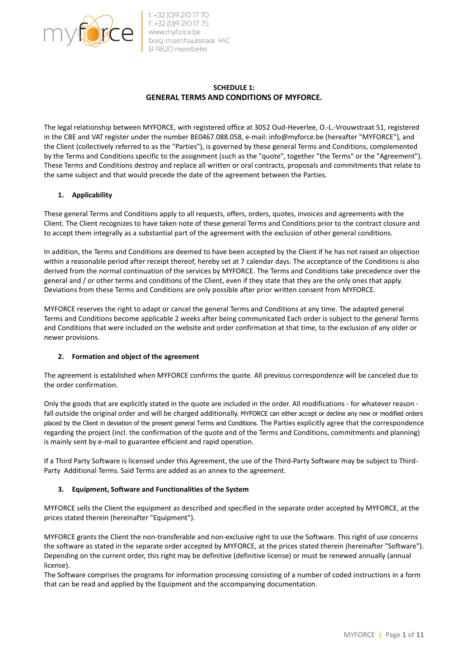

# SCHEDULE 1: GENERAL TERMS AND CONDITIONS OF MYFORCE.

The legal relationship between MYFORCE, with registered office at 3052 Oud-Heverlee, O.-L.-Vrouwstraat 51, registered in the CBE and VAT register under the number BE0467.088.058, e-mail: info@myforce.be (hereafter "MYFORCE"), and the Client (collectively referred to as the "Parties"), is governed by these general Terms and Conditions, complemented by the Terms and Conditions specific to the assignment (such as the "quote", together "the Terms" or the "Agreement"). These Terms and Conditions destroy and replace all written or oral contracts, proposals and commitments that relate to the same subject and that would precede the date of the agreement between the Parties.

## 1. Applicability

These general Terms and Conditions apply to all requests, offers, orders, quotes, invoices and agreements with the Client. The Client recognizes to have taken note of these general Terms and Conditions prior to the contract closure and to accept them integrally as a substantial part of the agreement with the exclusion of other general conditions.

In addition, the Terms and Conditions are deemed to have been accepted by the Client if he has not raised an objection within a reasonable period after receipt thereof, hereby set at 7 calendar days. The acceptance of the Conditions is also derived from the normal continuation of the services by MYFORCE. The Terms and Conditions take precedence over the general and / or other terms and conditions of the Client, even if they state that they are the only ones that apply. Deviations from these Terms and Conditions are only possible after prior written consent from MYFORCE.

MYFORCE reserves the right to adapt or cancel the general Terms and Conditions at any time. The adapted general Terms and Conditions become applicable 2 weeks after being communicated Each order is subject to the general Terms and Conditions that were included on the website and order confirmation at that time, to the exclusion of any older or newer provisions.

# 2. Formation and object of the agreement

The agreement is established when MYFORCE confirms the quote. All previous correspondence will be canceled due to the order confirmation.

Only the goods that are explicitly stated in the quote are included in the order. All modifications - for whatever reason fall outside the original order and will be charged additionally. MYFORCE can either accept or decline any new or modified orders placed by the Client in deviation of the present general Terms and Conditions. The Parties explicitly agree that the correspondence regarding the project (incl. the confirmation of the quote and of the Terms and Conditions, commitments and planning) is mainly sent by e-mail to guarantee efficient and rapid operation.

If a Third Party Software is licensed under this Agreement, the use of the Third-Party Software may be subject to Third-Party Additional Terms. Said Terms are added as an annex to the agreement.

### 3. Equipment, Software and Functionalities of the System

MYFORCE sells the Client the equipment as described and specified in the separate order accepted by MYFORCE, at the prices stated therein (hereinafter "Equipment").

MYFORCE grants the Client the non-transferable and non-exclusive right to use the Software. This right of use concerns the software as stated in the separate order accepted by MYFORCE, at the prices stated therein (hereinafter "Software"). Depending on the current order, this right may be definitive (definitive license) or must be renewed annually (annual license).

The Software comprises the programs for information processing consisting of a number of coded instructions in a form that can be read and applied by the Equipment and the accompanying documentation.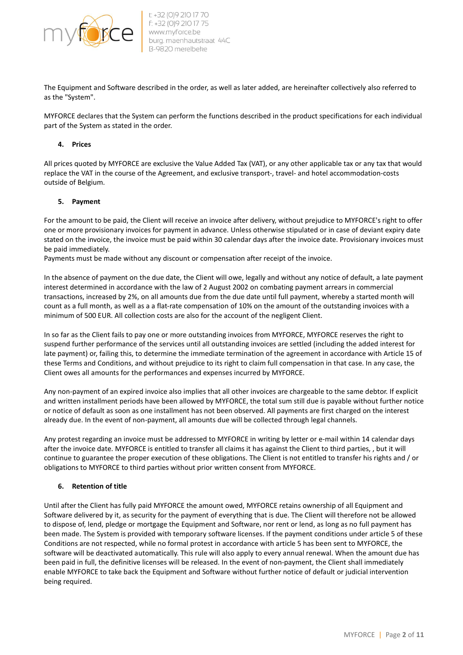

The Equipment and Software described in the order, as well as later added, are hereinafter collectively also referred to as the "System".

MYFORCE declares that the System can perform the functions described in the product specifications for each individual part of the System as stated in the order.

#### 4. Prices

All prices quoted by MYFORCE are exclusive the Value Added Tax (VAT), or any other applicable tax or any tax that would replace the VAT in the course of the Agreement, and exclusive transport-, travel- and hotel accommodation-costs outside of Belgium.

#### 5. Payment

For the amount to be paid, the Client will receive an invoice after delivery, without prejudice to MYFORCE's right to offer one or more provisionary invoices for payment in advance. Unless otherwise stipulated or in case of deviant expiry date stated on the invoice, the invoice must be paid within 30 calendar days after the invoice date. Provisionary invoices must be paid immediately.

Payments must be made without any discount or compensation after receipt of the invoice.

In the absence of payment on the due date, the Client will owe, legally and without any notice of default, a late payment interest determined in accordance with the law of 2 August 2002 on combating payment arrears in commercial transactions, increased by 2%, on all amounts due from the due date until full payment, whereby a started month will count as a full month, as well as a a flat-rate compensation of 10% on the amount of the outstanding invoices with a minimum of 500 EUR. All collection costs are also for the account of the negligent Client.

In so far as the Client fails to pay one or more outstanding invoices from MYFORCE, MYFORCE reserves the right to suspend further performance of the services until all outstanding invoices are settled (including the added interest for late payment) or, failing this, to determine the immediate termination of the agreement in accordance with Article 15 of these Terms and Conditions, and without prejudice to its right to claim full compensation in that case. In any case, the Client owes all amounts for the performances and expenses incurred by MYFORCE.

Any non-payment of an expired invoice also implies that all other invoices are chargeable to the same debtor. If explicit and written installment periods have been allowed by MYFORCE, the total sum still due is payable without further notice or notice of default as soon as one installment has not been observed. All payments are first charged on the interest already due. In the event of non-payment, all amounts due will be collected through legal channels.

Any protest regarding an invoice must be addressed to MYFORCE in writing by letter or e-mail within 14 calendar days after the invoice date. MYFORCE is entitled to transfer all claims it has against the Client to third parties, , but it will continue to guarantee the proper execution of these obligations. The Client is not entitled to transfer his rights and / or obligations to MYFORCE to third parties without prior written consent from MYFORCE.

### 6. Retention of title

Until after the Client has fully paid MYFORCE the amount owed, MYFORCE retains ownership of all Equipment and Software delivered by it, as security for the payment of everything that is due. The Client will therefore not be allowed to dispose of, lend, pledge or mortgage the Equipment and Software, nor rent or lend, as long as no full payment has been made. The System is provided with temporary software licenses. If the payment conditions under article 5 of these Conditions are not respected, while no formal protest in accordance with article 5 has been sent to MYFORCE, the software will be deactivated automatically. This rule will also apply to every annual renewal. When the amount due has been paid in full, the definitive licenses will be released. In the event of non-payment, the Client shall immediately enable MYFORCE to take back the Equipment and Software without further notice of default or judicial intervention being required.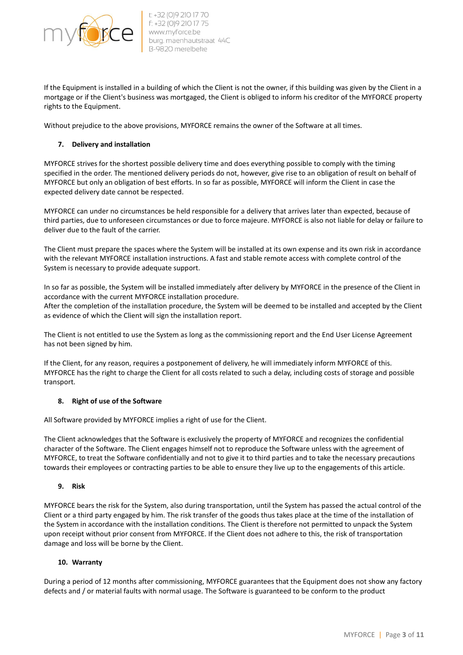

If the Equipment is installed in a building of which the Client is not the owner, if this building was given by the Client in a mortgage or if the Client's business was mortgaged, the Client is obliged to inform his creditor of the MYFORCE property rights to the Equipment.

Without prejudice to the above provisions, MYFORCE remains the owner of the Software at all times.

## 7. Delivery and installation

MYFORCE strives for the shortest possible delivery time and does everything possible to comply with the timing specified in the order. The mentioned delivery periods do not, however, give rise to an obligation of result on behalf of MYFORCE but only an obligation of best efforts. In so far as possible, MYFORCE will inform the Client in case the expected delivery date cannot be respected.

MYFORCE can under no circumstances be held responsible for a delivery that arrives later than expected, because of third parties, due to unforeseen circumstances or due to force majeure. MYFORCE is also not liable for delay or failure to deliver due to the fault of the carrier.

The Client must prepare the spaces where the System will be installed at its own expense and its own risk in accordance with the relevant MYFORCE installation instructions. A fast and stable remote access with complete control of the System is necessary to provide adequate support.

In so far as possible, the System will be installed immediately after delivery by MYFORCE in the presence of the Client in accordance with the current MYFORCE installation procedure.

After the completion of the installation procedure, the System will be deemed to be installed and accepted by the Client as evidence of which the Client will sign the installation report.

The Client is not entitled to use the System as long as the commissioning report and the End User License Agreement has not been signed by him.

If the Client, for any reason, requires a postponement of delivery, he will immediately inform MYFORCE of this. MYFORCE has the right to charge the Client for all costs related to such a delay, including costs of storage and possible transport.

### 8. Right of use of the Software

All Software provided by MYFORCE implies a right of use for the Client.

The Client acknowledges that the Software is exclusively the property of MYFORCE and recognizes the confidential character of the Software. The Client engages himself not to reproduce the Software unless with the agreement of MYFORCE, to treat the Software confidentially and not to give it to third parties and to take the necessary precautions towards their employees or contracting parties to be able to ensure they live up to the engagements of this article.

### 9. Risk

MYFORCE bears the risk for the System, also during transportation, until the System has passed the actual control of the Client or a third party engaged by him. The risk transfer of the goods thus takes place at the time of the installation of the System in accordance with the installation conditions. The Client is therefore not permitted to unpack the System upon receipt without prior consent from MYFORCE. If the Client does not adhere to this, the risk of transportation damage and loss will be borne by the Client.

### 10. Warranty

During a period of 12 months after commissioning, MYFORCE guarantees that the Equipment does not show any factory defects and / or material faults with normal usage. The Software is guaranteed to be conform to the product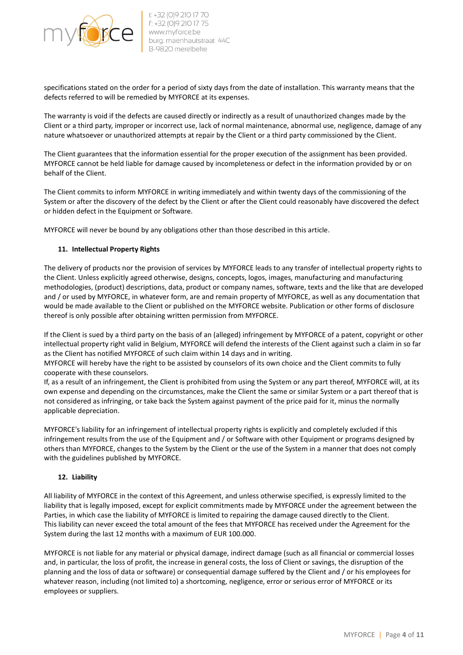

specifications stated on the order for a period of sixty days from the date of installation. This warranty means that the defects referred to will be remedied by MYFORCE at its expenses.

The warranty is void if the defects are caused directly or indirectly as a result of unauthorized changes made by the Client or a third party, improper or incorrect use, lack of normal maintenance, abnormal use, negligence, damage of any nature whatsoever or unauthorized attempts at repair by the Client or a third party commissioned by the Client.

The Client guarantees that the information essential for the proper execution of the assignment has been provided. MYFORCE cannot be held liable for damage caused by incompleteness or defect in the information provided by or on behalf of the Client.

The Client commits to inform MYFORCE in writing immediately and within twenty days of the commissioning of the System or after the discovery of the defect by the Client or after the Client could reasonably have discovered the defect or hidden defect in the Equipment or Software.

MYFORCE will never be bound by any obligations other than those described in this article.

### 11. Intellectual Property Rights

The delivery of products nor the provision of services by MYFORCE leads to any transfer of intellectual property rights to the Client. Unless explicitly agreed otherwise, designs, concepts, logos, images, manufacturing and manufacturing methodologies, (product) descriptions, data, product or company names, software, texts and the like that are developed and / or used by MYFORCE, in whatever form, are and remain property of MYFORCE, as well as any documentation that would be made available to the Client or published on the MYFORCE website. Publication or other forms of disclosure thereof is only possible after obtaining written permission from MYFORCE.

If the Client is sued by a third party on the basis of an (alleged) infringement by MYFORCE of a patent, copyright or other intellectual property right valid in Belgium, MYFORCE will defend the interests of the Client against such a claim in so far as the Client has notified MYFORCE of such claim within 14 days and in writing.

MYFORCE will hereby have the right to be assisted by counselors of its own choice and the Client commits to fully cooperate with these counselors.

If, as a result of an infringement, the Client is prohibited from using the System or any part thereof, MYFORCE will, at its own expense and depending on the circumstances, make the Client the same or similar System or a part thereof that is not considered as infringing, or take back the System against payment of the price paid for it, minus the normally applicable depreciation.

MYFORCE's liability for an infringement of intellectual property rights is explicitly and completely excluded if this infringement results from the use of the Equipment and / or Software with other Equipment or programs designed by others than MYFORCE, changes to the System by the Client or the use of the System in a manner that does not comply with the guidelines published by MYFORCE.

### 12. Liability

All liability of MYFORCE in the context of this Agreement, and unless otherwise specified, is expressly limited to the liability that is legally imposed, except for explicit commitments made by MYFORCE under the agreement between the Parties, in which case the liability of MYFORCE is limited to repairing the damage caused directly to the Client. This liability can never exceed the total amount of the fees that MYFORCE has received under the Agreement for the System during the last 12 months with a maximum of EUR 100.000.

MYFORCE is not liable for any material or physical damage, indirect damage (such as all financial or commercial losses and, in particular, the loss of profit, the increase in general costs, the loss of Client or savings, the disruption of the planning and the loss of data or software) or consequential damage suffered by the Client and / or his employees for whatever reason, including (not limited to) a shortcoming, negligence, error or serious error of MYFORCE or its employees or suppliers.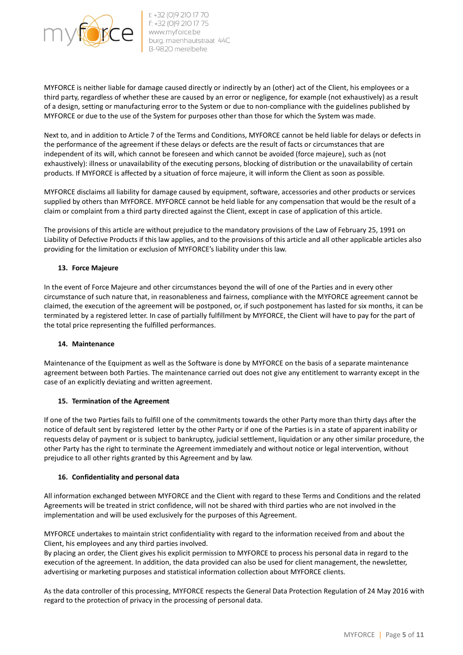

MYFORCE is neither liable for damage caused directly or indirectly by an (other) act of the Client, his employees or a third party, regardless of whether these are caused by an error or negligence, for example (not exhaustively) as a result of a design, setting or manufacturing error to the System or due to non-compliance with the guidelines published by MYFORCE or due to the use of the System for purposes other than those for which the System was made.

Next to, and in addition to Article 7 of the Terms and Conditions, MYFORCE cannot be held liable for delays or defects in the performance of the agreement if these delays or defects are the result of facts or circumstances that are independent of its will, which cannot be foreseen and which cannot be avoided (force majeure), such as (not exhaustively): illness or unavailability of the executing persons, blocking of distribution or the unavailability of certain products. If MYFORCE is affected by a situation of force majeure, it will inform the Client as soon as possible.

MYFORCE disclaims all liability for damage caused by equipment, software, accessories and other products or services supplied by others than MYFORCE. MYFORCE cannot be held liable for any compensation that would be the result of a claim or complaint from a third party directed against the Client, except in case of application of this article.

The provisions of this article are without prejudice to the mandatory provisions of the Law of February 25, 1991 on Liability of Defective Products if this law applies, and to the provisions of this article and all other applicable articles also providing for the limitation or exclusion of MYFORCE's liability under this law.

## 13. Force Majeure

In the event of Force Majeure and other circumstances beyond the will of one of the Parties and in every other circumstance of such nature that, in reasonableness and fairness, compliance with the MYFORCE agreement cannot be claimed, the execution of the agreement will be postponed, or, if such postponement has lasted for six months, it can be terminated by a registered letter. In case of partially fulfillment by MYFORCE, the Client will have to pay for the part of the total price representing the fulfilled performances.

### 14. Maintenance

Maintenance of the Equipment as well as the Software is done by MYFORCE on the basis of a separate maintenance agreement between both Parties. The maintenance carried out does not give any entitlement to warranty except in the case of an explicitly deviating and written agreement.

### 15. Termination of the Agreement

If one of the two Parties fails to fulfill one of the commitments towards the other Party more than thirty days after the notice of default sent by registered letter by the other Party or if one of the Parties is in a state of apparent inability or requests delay of payment or is subject to bankruptcy, judicial settlement, liquidation or any other similar procedure, the other Party has the right to terminate the Agreement immediately and without notice or legal intervention, without prejudice to all other rights granted by this Agreement and by law.

### 16. Confidentiality and personal data

All information exchanged between MYFORCE and the Client with regard to these Terms and Conditions and the related Agreements will be treated in strict confidence, will not be shared with third parties who are not involved in the implementation and will be used exclusively for the purposes of this Agreement.

MYFORCE undertakes to maintain strict confidentiality with regard to the information received from and about the Client, his employees and any third parties involved.

By placing an order, the Client gives his explicit permission to MYFORCE to process his personal data in regard to the execution of the agreement. In addition, the data provided can also be used for client management, the newsletter, advertising or marketing purposes and statistical information collection about MYFORCE clients.

As the data controller of this processing, MYFORCE respects the General Data Protection Regulation of 24 May 2016 with regard to the protection of privacy in the processing of personal data.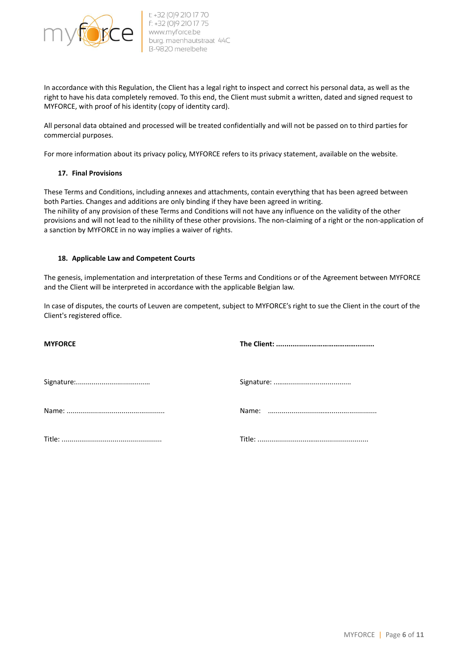

In accordance with this Regulation, the Client has a legal right to inspect and correct his personal data, as well as the right to have his data completely removed. To this end, the Client must submit a written, dated and signed request to MYFORCE, with proof of his identity (copy of identity card).

All personal data obtained and processed will be treated confidentially and will not be passed on to third parties for commercial purposes.

For more information about its privacy policy, MYFORCE refers to its privacy statement, available on the website.

### 17. Final Provisions

These Terms and Conditions, including annexes and attachments, contain everything that has been agreed between both Parties. Changes and additions are only binding if they have been agreed in writing. The nihility of any provision of these Terms and Conditions will not have any influence on the validity of the other provisions and will not lead to the nihility of these other provisions. The non-claiming of a right or the non-application of a sanction by MYFORCE in no way implies a waiver of rights.

#### 18. Applicable Law and Competent Courts

The genesis, implementation and interpretation of these Terms and Conditions or of the Agreement between MYFORCE and the Client will be interpreted in accordance with the applicable Belgian law.

In case of disputes, the courts of Leuven are competent, subject to MYFORCE's right to sue the Client in the court of the Client's registered office.

| <b>MYFORCE</b> |  |
|----------------|--|
|                |  |
|                |  |
|                |  |
|                |  |
|                |  |
|                |  |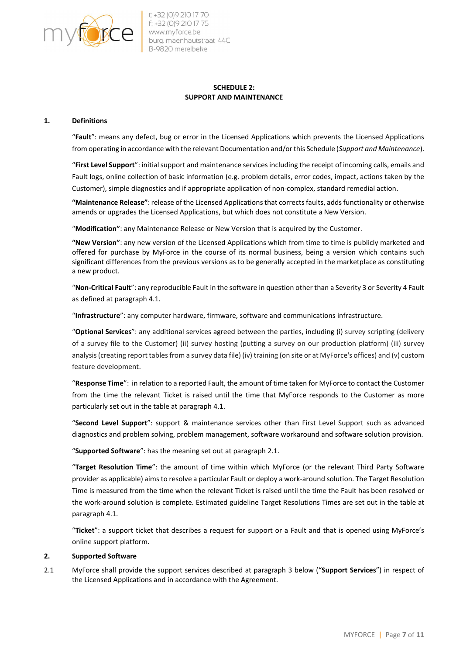

 $\Gamma$  +32 (0)9 210 17 70 f: +32 (0)9 210 17 75 www.myforce.be burg. maenhautstraat 44C

## SCHEDULE 2: SUPPORT AND MAINTENANCE

#### 1. Definitions

"Fault": means any defect, bug or error in the Licensed Applications which prevents the Licensed Applications from operating in accordance with the relevant Documentation and/or this Schedule (Support and Maintenance).

"First Level Support": initial support and maintenance services including the receipt of incoming calls, emails and Fault logs, online collection of basic information (e.g. problem details, error codes, impact, actions taken by the Customer), simple diagnostics and if appropriate application of non-complex, standard remedial action.

"Maintenance Release": release of the Licensed Applications that corrects faults, adds functionality or otherwise amends or upgrades the Licensed Applications, but which does not constitute a New Version.

"Modification": any Maintenance Release or New Version that is acquired by the Customer.

"New Version": any new version of the Licensed Applications which from time to time is publicly marketed and offered for purchase by MyForce in the course of its normal business, being a version which contains such significant differences from the previous versions as to be generally accepted in the marketplace as constituting a new product.

"Non-Critical Fault": any reproducible Fault in the software in question other than a Severity 3 or Severity 4 Fault as defined at paragraph 4.1.

"Infrastructure": any computer hardware, firmware, software and communications infrastructure.

"Optional Services": any additional services agreed between the parties, including (i) survey scripting (delivery of a survey file to the Customer) (ii) survey hosting (putting a survey on our production platform) (iii) survey analysis (creating report tables from a survey data file) (iv) training (on site or at MyForce's offices) and (v) custom feature development.

"Response Time": in relation to a reported Fault, the amount of time taken for MyForce to contact the Customer from the time the relevant Ticket is raised until the time that MyForce responds to the Customer as more particularly set out in the table at paragraph 4.1.

"Second Level Support": support & maintenance services other than First Level Support such as advanced diagnostics and problem solving, problem management, software workaround and software solution provision.

"Supported Software": has the meaning set out at paragraph 2.1.

"Target Resolution Time": the amount of time within which MyForce (or the relevant Third Party Software provider as applicable) aims to resolve a particular Fault or deploy a work-around solution. The Target Resolution Time is measured from the time when the relevant Ticket is raised until the time the Fault has been resolved or the work-around solution is complete. Estimated guideline Target Resolutions Times are set out in the table at paragraph 4.1.

"Ticket": a support ticket that describes a request for support or a Fault and that is opened using MyForce's online support platform.

### 2. Supported Software

2.1 MyForce shall provide the support services described at paragraph 3 below ("Support Services") in respect of the Licensed Applications and in accordance with the Agreement.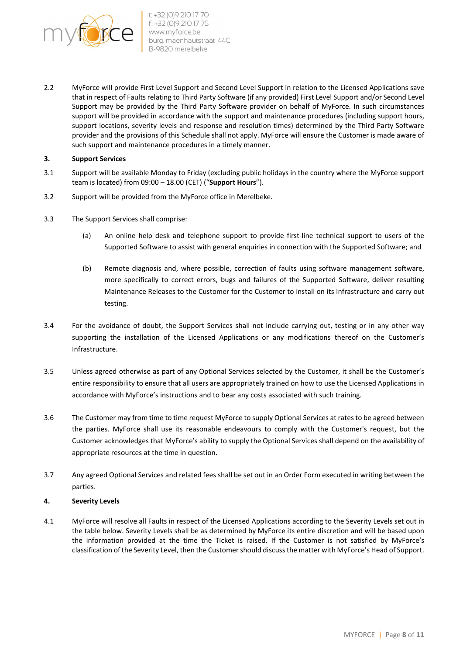

2.2 MyForce will provide First Level Support and Second Level Support in relation to the Licensed Applications save that in respect of Faults relating to Third Party Software (if any provided) First Level Support and/or Second Level Support may be provided by the Third Party Software provider on behalf of MyForce. In such circumstances support will be provided in accordance with the support and maintenance procedures (including support hours, support locations, severity levels and response and resolution times) determined by the Third Party Software provider and the provisions of this Schedule shall not apply. MyForce will ensure the Customer is made aware of such support and maintenance procedures in a timely manner.

### 3. Support Services

- 3.1 Support will be available Monday to Friday (excluding public holidays in the country where the MyForce support team is located) from  $09:00 - 18.00$  (CET) ("Support Hours").
- 3.2 Support will be provided from the MyForce office in Merelbeke.
- 3.3 The Support Services shall comprise:
	- (a) An online help desk and telephone support to provide first-line technical support to users of the Supported Software to assist with general enquiries in connection with the Supported Software; and
	- (b) Remote diagnosis and, where possible, correction of faults using software management software, more specifically to correct errors, bugs and failures of the Supported Software, deliver resulting Maintenance Releases to the Customer for the Customer to install on its Infrastructure and carry out testing.
- 3.4 For the avoidance of doubt, the Support Services shall not include carrying out, testing or in any other way supporting the installation of the Licensed Applications or any modifications thereof on the Customer's Infrastructure.
- 3.5 Unless agreed otherwise as part of any Optional Services selected by the Customer, it shall be the Customer's entire responsibility to ensure that all users are appropriately trained on how to use the Licensed Applications in accordance with MyForce's instructions and to bear any costs associated with such training.
- 3.6 The Customer may from time to time request MyForce to supply Optional Services at rates to be agreed between the parties. MyForce shall use its reasonable endeavours to comply with the Customer's request, but the Customer acknowledges that MyForce's ability to supply the Optional Services shall depend on the availability of appropriate resources at the time in question.
- 3.7 Any agreed Optional Services and related fees shall be set out in an Order Form executed in writing between the parties.

#### 4. Severity Levels

4.1 MyForce will resolve all Faults in respect of the Licensed Applications according to the Severity Levels set out in the table below. Severity Levels shall be as determined by MyForce its entire discretion and will be based upon the information provided at the time the Ticket is raised. If the Customer is not satisfied by MyForce's classification of the Severity Level, then the Customer should discuss the matter with MyForce's Head of Support.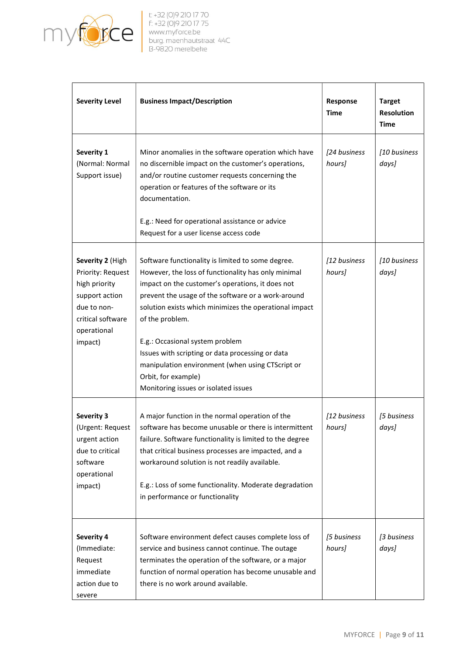

| <b>Severity Level</b>                                                                                                                  | <b>Business Impact/Description</b>                                                                                                                                                                                                                                                                                                                                                                                                                                                                        | Response<br><b>Time</b> | <b>Target</b><br><b>Resolution</b><br>Time |
|----------------------------------------------------------------------------------------------------------------------------------------|-----------------------------------------------------------------------------------------------------------------------------------------------------------------------------------------------------------------------------------------------------------------------------------------------------------------------------------------------------------------------------------------------------------------------------------------------------------------------------------------------------------|-------------------------|--------------------------------------------|
| Severity 1<br>(Normal: Normal<br>Support issue)                                                                                        | Minor anomalies in the software operation which have<br>no discernible impact on the customer's operations,<br>and/or routine customer requests concerning the<br>operation or features of the software or its<br>documentation.<br>E.g.: Need for operational assistance or advice<br>Request for a user license access code                                                                                                                                                                             | [24 business<br>hours]  | [10 business<br>days]                      |
| Severity 2 (High<br>Priority: Request<br>high priority<br>support action<br>due to non-<br>critical software<br>operational<br>impact) | Software functionality is limited to some degree.<br>However, the loss of functionality has only minimal<br>impact on the customer's operations, it does not<br>prevent the usage of the software or a work-around<br>solution exists which minimizes the operational impact<br>of the problem.<br>E.g.: Occasional system problem<br>Issues with scripting or data processing or data<br>manipulation environment (when using CTScript or<br>Orbit, for example)<br>Monitoring issues or isolated issues | [12 business<br>hours]  | [10 business<br>days]                      |
| Severity 3<br>(Urgent: Request)<br>urgent action<br>due to critical<br>software<br>operational<br>impact)                              | A major function in the normal operation of the<br>software has become unusable or there is intermittent<br>failure. Software functionality is limited to the degree<br>that critical business processes are impacted, and a<br>workaround solution is not readily available.<br>E.g.: Loss of some functionality. Moderate degradation<br>in performance or functionality                                                                                                                                | [12 business<br>hoursl  | [5 business<br>days]                       |
| <b>Severity 4</b><br>(Immediate:<br>Request<br>immediate<br>action due to<br>severe                                                    | Software environment defect causes complete loss of<br>service and business cannot continue. The outage<br>terminates the operation of the software, or a major<br>function of normal operation has become unusable and<br>there is no work around available.                                                                                                                                                                                                                                             | [5 business<br>hours]   | [3 business<br>days]                       |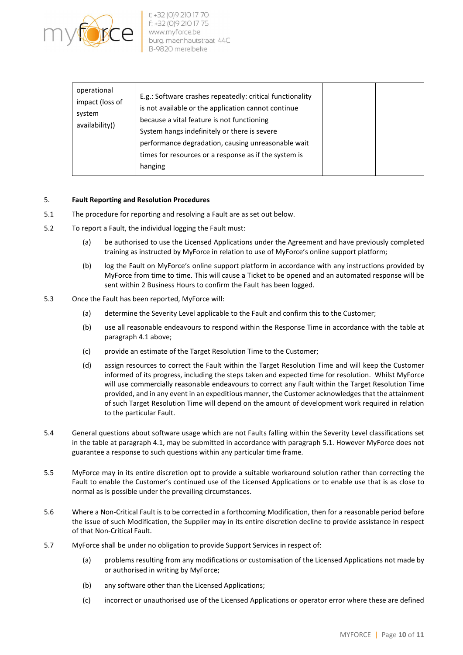

| operational<br>impact (loss of<br>system<br>availability)) | E.g.: Software crashes repeatedly: critical functionality<br>is not available or the application cannot continue<br>because a vital feature is not functioning<br>System hangs indefinitely or there is severe<br>performance degradation, causing unreasonable wait<br>times for resources or a response as if the system is<br>hanging |  |  |
|------------------------------------------------------------|------------------------------------------------------------------------------------------------------------------------------------------------------------------------------------------------------------------------------------------------------------------------------------------------------------------------------------------|--|--|
|------------------------------------------------------------|------------------------------------------------------------------------------------------------------------------------------------------------------------------------------------------------------------------------------------------------------------------------------------------------------------------------------------------|--|--|

### 5. Fault Reporting and Resolution Procedures

- 5.1 The procedure for reporting and resolving a Fault are as set out below.
- 5.2 To report a Fault, the individual logging the Fault must:
	- (a) be authorised to use the Licensed Applications under the Agreement and have previously completed training as instructed by MyForce in relation to use of MyForce's online support platform;
	- (b) log the Fault on MyForce's online support platform in accordance with any instructions provided by MyForce from time to time. This will cause a Ticket to be opened and an automated response will be sent within 2 Business Hours to confirm the Fault has been logged.
- 5.3 Once the Fault has been reported, MyForce will:
	- (a) determine the Severity Level applicable to the Fault and confirm this to the Customer;
	- (b) use all reasonable endeavours to respond within the Response Time in accordance with the table at paragraph 4.1 above;
	- (c) provide an estimate of the Target Resolution Time to the Customer;
	- (d) assign resources to correct the Fault within the Target Resolution Time and will keep the Customer informed of its progress, including the steps taken and expected time for resolution. Whilst MyForce will use commercially reasonable endeavours to correct any Fault within the Target Resolution Time provided, and in any event in an expeditious manner, the Customer acknowledges that the attainment of such Target Resolution Time will depend on the amount of development work required in relation to the particular Fault.
- 5.4 General questions about software usage which are not Faults falling within the Severity Level classifications set in the table at paragraph 4.1, may be submitted in accordance with paragraph 5.1. However MyForce does not guarantee a response to such questions within any particular time frame.
- 5.5 MyForce may in its entire discretion opt to provide a suitable workaround solution rather than correcting the Fault to enable the Customer's continued use of the Licensed Applications or to enable use that is as close to normal as is possible under the prevailing circumstances.
- 5.6 Where a Non-Critical Fault is to be corrected in a forthcoming Modification, then for a reasonable period before the issue of such Modification, the Supplier may in its entire discretion decline to provide assistance in respect of that Non-Critical Fault.
- 5.7 MyForce shall be under no obligation to provide Support Services in respect of:
	- (a) problems resulting from any modifications or customisation of the Licensed Applications not made by or authorised in writing by MyForce;
	- (b) any software other than the Licensed Applications;
	- (c) incorrect or unauthorised use of the Licensed Applications or operator error where these are defined